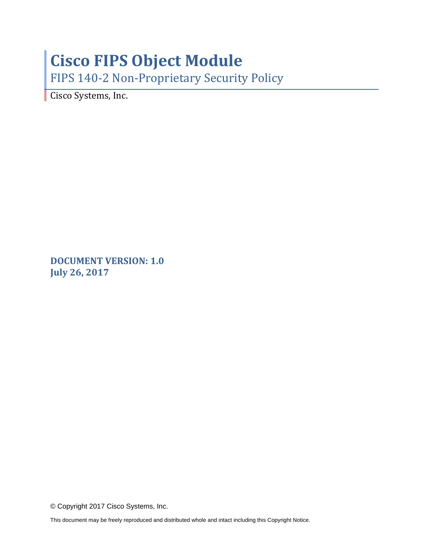# **Cisco FIPS Object Module**

FIPS 140-2 Non-Proprietary Security Policy

Cisco Systems, Inc.

**DOCUMENT VERSION: 1.0 July 26, 2017**

© Copyright 2017 Cisco Systems, Inc.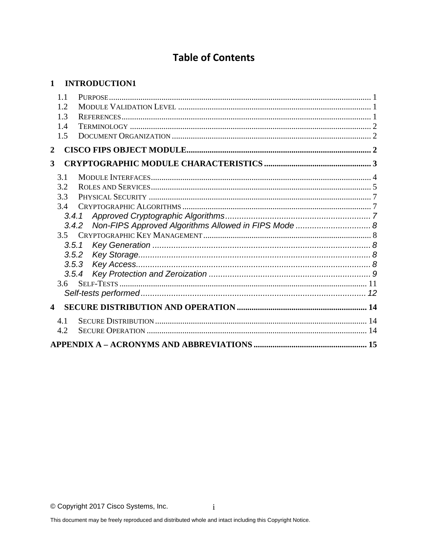# **Table of Contents**

### 1 INTRODUCTION1

| 1.1                     |                                                               |  |
|-------------------------|---------------------------------------------------------------|--|
| 1.2                     |                                                               |  |
| 1.3                     |                                                               |  |
| 1.4                     |                                                               |  |
| 1.5                     |                                                               |  |
| $\overline{2}$          |                                                               |  |
| 3                       |                                                               |  |
| 3.1                     |                                                               |  |
| 3.2                     |                                                               |  |
| 3.3                     |                                                               |  |
| 3.4                     |                                                               |  |
|                         | 3.4.1                                                         |  |
|                         | Non-FIPS Approved Algorithms Allowed in FIPS Mode  8<br>3.4.2 |  |
| 3.5                     |                                                               |  |
| 3.5.1                   |                                                               |  |
|                         | 3.5.2                                                         |  |
|                         | 3.5.3                                                         |  |
|                         | 3.5.4                                                         |  |
| 3.6                     |                                                               |  |
|                         |                                                               |  |
| $\overline{\mathbf{4}}$ |                                                               |  |
| 4.1                     |                                                               |  |
| 4.2                     |                                                               |  |
|                         |                                                               |  |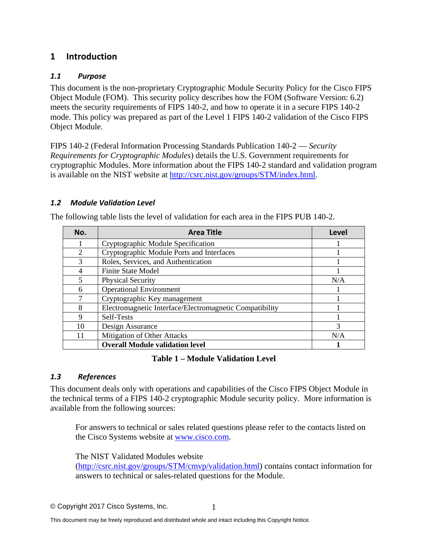## <span id="page-2-0"></span>**1 Introduction**

#### <span id="page-2-1"></span>*1.1 Purpose*

This document is the non-proprietary Cryptographic Module Security Policy for the Cisco FIPS Object Module (FOM). This security policy describes how the FOM (Software Version: 6.2) meets the security requirements of FIPS 140-2, and how to operate it in a secure FIPS 140-2 mode. This policy was prepared as part of the Level 1 FIPS 140-2 validation of the Cisco FIPS Object Module.

FIPS 140-2 (Federal Information Processing Standards Publication 140-2 — *Security Requirements for Cryptographic Modules*) details the U.S. Government requirements for cryptographic Modules. More information about the FIPS 140-2 standard and validation program is available on the NIST website at [http://csrc.nist.gov/groups/STM/index.html.](http://csrc.nist.gov/groups/STM/index.html)

#### <span id="page-2-2"></span>*1.2 Module Validation Level*

| No.                         | <b>Area Title</b>                                       | Level |
|-----------------------------|---------------------------------------------------------|-------|
|                             | Cryptographic Module Specification                      |       |
| $\mathcal{D}_{\mathcal{L}}$ | Cryptographic Module Ports and Interfaces               |       |
| 3                           | Roles, Services, and Authentication                     |       |
| 4                           | <b>Finite State Model</b>                               |       |
| 5                           | <b>Physical Security</b>                                | N/A   |
| 6                           | <b>Operational Environment</b>                          |       |
| 7                           | Cryptographic Key management                            |       |
| 8                           | Electromagnetic Interface/Electromagnetic Compatibility |       |
| 9                           | Self-Tests                                              |       |
| 10                          | Design Assurance                                        | 3     |
| 11                          | Mitigation of Other Attacks                             | N/A   |
|                             | <b>Overall Module validation level</b>                  |       |

The following table lists the level of validation for each area in the FIPS PUB 140-2.

#### **Table 1 – Module Validation Level**

#### <span id="page-2-3"></span>*1.3 References*

This document deals only with operations and capabilities of the Cisco FIPS Object Module in the technical terms of a FIPS 140-2 cryptographic Module security policy. More information is available from the following sources:

For answers to technical or sales related questions please refer to the contacts listed on the Cisco Systems website at [www.cisco.com.](http://www.cisco.com/)

The NIST Validated Modules website

[\(http://csrc.nist.gov/groups/STM/cmvp/validation.html\)](http://csrc.nist.gov/groups/STM/cmvp/validation.html) contains contact information for answers to technical or sales-related questions for the Module.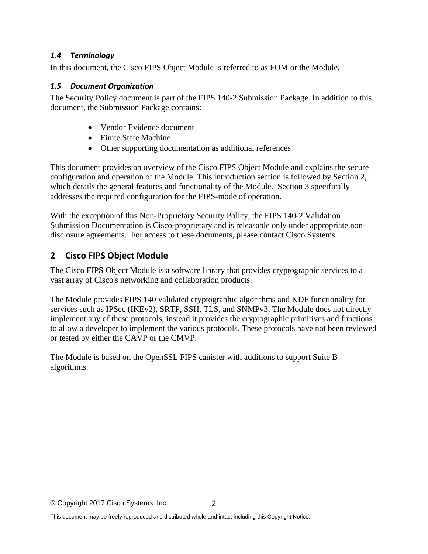#### <span id="page-3-0"></span>*1.4 Terminology*

<span id="page-3-1"></span>In this document, the Cisco FIPS Object Module is referred to as FOM or the Module.

#### *1.5 Document Organization*

The Security Policy document is part of the FIPS 140-2 Submission Package. In addition to this document, the Submission Package contains:

- Vendor Evidence document
- Finite State Machine
- Other supporting documentation as additional references

This document provides an overview of the Cisco FIPS Object Module and explains the secure configuration and operation of the Module. This introduction section is followed by Section 2, which details the general features and functionality of the Module. Section 3 specifically addresses the required configuration for the FIPS-mode of operation.

With the exception of this Non-Proprietary Security Policy, the FIPS 140-2 Validation Submission Documentation is Cisco-proprietary and is releasable only under appropriate nondisclosure agreements. For access to these documents, please contact Cisco Systems.

# <span id="page-3-2"></span>**2 Cisco FIPS Object Module**

The Cisco FIPS Object Module is a software library that provides cryptographic services to a vast array of Cisco's networking and collaboration products.

The Module provides FIPS 140 validated cryptographic algorithms and KDF functionality for services such as IPSec (IKEv2), SRTP, SSH, TLS, and SNMPv3. The Module does not directly implement any of these protocols, instead it provides the cryptographic primitives and functions to allow a developer to implement the various protocols. These protocols have not been reviewed or tested by either the CAVP or the CMVP.

The Module is based on the OpenSSL FIPS canister with additions to support Suite B algorithms.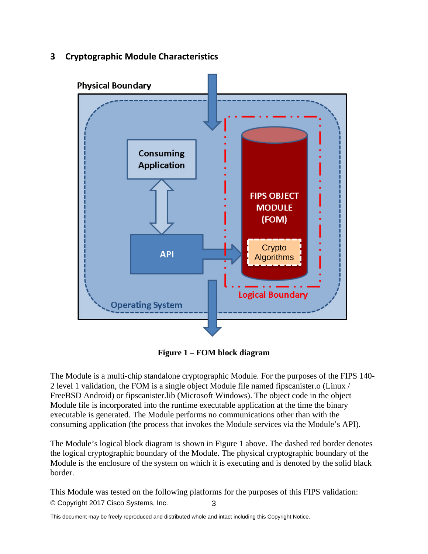<span id="page-4-0"></span>**3 Cryptographic Module Characteristics**



**Figure 1 – FOM block diagram**

The Module is a multi-chip standalone cryptographic Module. For the purposes of the FIPS 140- 2 level 1 validation, the FOM is a single object Module file named fipscanister.o (Linux / FreeBSD Android) or fipscanister.lib (Microsoft Windows). The object code in the object Module file is incorporated into the runtime executable application at the time the binary executable is generated. The Module performs no communications other than with the consuming application (the process that invokes the Module services via the Module's API).

The Module's logical block diagram is shown in Figure 1 above. The dashed red border denotes the logical cryptographic boundary of the Module. The physical cryptographic boundary of the Module is the enclosure of the system on which it is executing and is denoted by the solid black border.

© Copyright 2017 Cisco Systems, Inc. 3 This Module was tested on the following platforms for the purposes of this FIPS validation: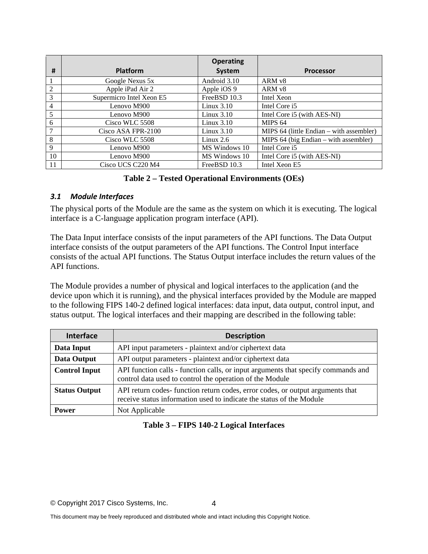|                |                          | <b>Operating</b> |                                          |
|----------------|--------------------------|------------------|------------------------------------------|
| #              | <b>Platform</b>          | System           | <b>Processor</b>                         |
|                | Google Nexus 5x          | Android 3.10     | ARM v8                                   |
| $\overline{2}$ | Apple iPad Air 2         | Apple iOS 9      | ARM <sub>v8</sub>                        |
| 3              | Supermicro Intel Xeon E5 | FreeBSD 10.3     | Intel Xeon                               |
| $\overline{4}$ | Lenovo M900              | Linux $3.10$     | Intel Core i5                            |
| 5              | Lenovo M900              | Linux $3.10$     | Intel Core i5 (with AES-NI)              |
| 6              | Cisco WLC 5508           | Linux $3.10$     | MIPS <sub>64</sub>                       |
| $\tau$         | Cisco ASA FPR-2100       | Linux $3.10$     | MIPS 64 (little Endian – with assembler) |
| 8              | Cisco WLC 5508           | Linux $2.6$      | MIPS $64$ (big Endian – with assembler)  |
| 9              | Lenovo M900              | MS Windows 10    | Intel Core i5                            |
| 10             | Lenovo M900              | MS Windows 10    | Intel Core i5 (with AES-NI)              |
| 11             | Cisco UCS C220 M4        | FreeBSD 10.3     | Intel Xeon E5                            |

#### **Table 2 – Tested Operational Environments (OEs)**

#### <span id="page-5-0"></span>*3.1 Module Interfaces*

The physical ports of the Module are the same as the system on which it is executing. The logical interface is a C-language application program interface (API).

The Data Input interface consists of the input parameters of the API functions. The Data Output interface consists of the output parameters of the API functions. The Control Input interface consists of the actual API functions. The Status Output interface includes the return values of the API functions.

The Module provides a number of physical and logical interfaces to the application (and the device upon which it is running), and the physical interfaces provided by the Module are mapped to the following FIPS 140-2 defined logical interfaces: data input, data output, control input, and status output. The logical interfaces and their mapping are described in the following table:

| <b>Interface</b>     | <b>Description</b>                                                                                                                                     |  |
|----------------------|--------------------------------------------------------------------------------------------------------------------------------------------------------|--|
| Data Input           | API input parameters - plaintext and/or ciphertext data                                                                                                |  |
| Data Output          | API output parameters - plaintext and/or ciphertext data                                                                                               |  |
| <b>Control Input</b> | API function calls - function calls, or input arguments that specify commands and<br>control data used to control the operation of the Module          |  |
| <b>Status Output</b> | API return codes- function return codes, error codes, or output arguments that<br>receive status information used to indicate the status of the Module |  |
| <b>Power</b>         | Not Applicable                                                                                                                                         |  |

#### **Table 3 – FIPS 140-2 Logical Interfaces**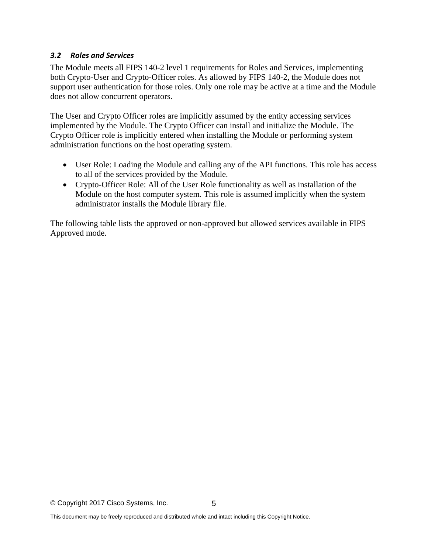#### <span id="page-6-0"></span>*3.2 Roles and Services*

The Module meets all FIPS 140-2 level 1 requirements for Roles and Services, implementing both Crypto-User and Crypto-Officer roles. As allowed by FIPS 140-2, the Module does not support user authentication for those roles. Only one role may be active at a time and the Module does not allow concurrent operators.

The User and Crypto Officer roles are implicitly assumed by the entity accessing services implemented by the Module. The Crypto Officer can install and initialize the Module. The Crypto Officer role is implicitly entered when installing the Module or performing system administration functions on the host operating system.

- User Role: Loading the Module and calling any of the API functions. This role has access to all of the services provided by the Module.
- Crypto-Officer Role: All of the User Role functionality as well as installation of the Module on the host computer system. This role is assumed implicitly when the system administrator installs the Module library file.

The following table lists the approved or non-approved but allowed services available in FIPS Approved mode.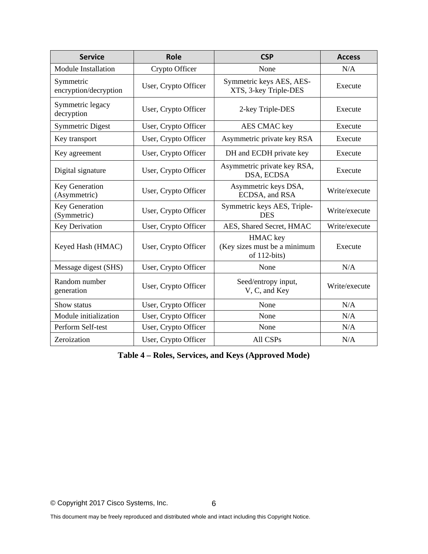| <b>Service</b><br><b>Role</b>                       |                                                                           | <b>CSP</b>                                                  | <b>Access</b> |  |
|-----------------------------------------------------|---------------------------------------------------------------------------|-------------------------------------------------------------|---------------|--|
| <b>Module Installation</b>                          | Crypto Officer                                                            | None                                                        |               |  |
| Symmetric<br>encryption/decryption                  | Symmetric keys AES, AES-<br>User, Crypto Officer<br>XTS, 3-key Triple-DES |                                                             | Execute       |  |
| Symmetric legacy<br>decryption                      | User, Crypto Officer                                                      | 2-key Triple-DES                                            | Execute       |  |
| <b>Symmetric Digest</b>                             | User, Crypto Officer                                                      | <b>AES CMAC key</b>                                         | Execute       |  |
| Key transport                                       | User, Crypto Officer                                                      | Asymmetric private key RSA                                  | Execute       |  |
| Key agreement                                       | User, Crypto Officer                                                      | DH and ECDH private key                                     | Execute       |  |
| Digital signature                                   | User, Crypto Officer                                                      | Asymmetric private key RSA,<br>DSA, ECDSA                   | Execute       |  |
| Key Generation<br>(Asymmetric)                      | User, Crypto Officer                                                      | Asymmetric keys DSA,<br>Write/execute<br>ECDSA, and RSA     |               |  |
| Key Generation<br>(Symmetric)                       | User, Crypto Officer                                                      | Symmetric keys AES, Triple-<br><b>DES</b>                   | Write/execute |  |
| Key Derivation                                      | User, Crypto Officer                                                      | AES, Shared Secret, HMAC                                    | Write/execute |  |
| Keyed Hash (HMAC)<br>User, Crypto Officer           |                                                                           | HMAC key<br>(Key sizes must be a minimum<br>of $112$ -bits) | Execute       |  |
| Message digest (SHS)                                | User, Crypto Officer                                                      | None                                                        | N/A           |  |
| Random number<br>User, Crypto Officer<br>generation |                                                                           | Seed/entropy input,<br>V, C, and Key                        | Write/execute |  |
| Show status                                         | User, Crypto Officer<br>None                                              |                                                             | N/A           |  |
| Module initialization                               | User, Crypto Officer                                                      | N/A<br>None                                                 |               |  |
| Perform Self-test                                   | User, Crypto Officer                                                      | None                                                        | N/A           |  |
| Zeroization                                         | User, Crypto Officer                                                      |                                                             | N/A           |  |

**Table 4 – Roles, Services, and Keys (Approved Mode)**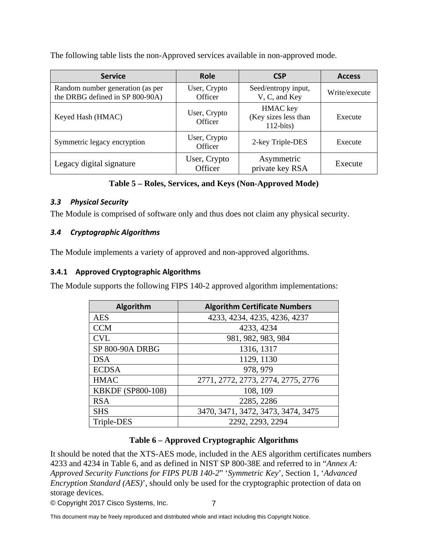The following table lists the non-Approved services available in non-approved mode.

| <b>Service</b>                                                      | <b>Role</b>             | <b>CSP</b>                                      | <b>Access</b> |
|---------------------------------------------------------------------|-------------------------|-------------------------------------------------|---------------|
| Random number generation (as per<br>the DRBG defined in SP 800-90A) | User, Crypto<br>Officer | Seed/entropy input,<br>V, C, and Key            | Write/execute |
| Keyed Hash (HMAC)                                                   | User, Crypto<br>Officer | HMAC key<br>(Key sizes less than<br>$112-bits)$ | Execute       |
| Symmetric legacy encryption                                         | User, Crypto<br>Officer | 2-key Triple-DES                                | Execute       |
| Legacy digital signature                                            | User, Crypto<br>Officer | Asymmetric<br>private key RSA                   | Execute       |

#### **Table 5 – Roles, Services, and Keys (Non-Approved Mode)**

#### <span id="page-8-0"></span>*3.3 Physical Security*

<span id="page-8-1"></span>The Module is comprised of software only and thus does not claim any physical security.

#### *3.4 Cryptographic Algorithms*

The Module implements a variety of approved and non-approved algorithms.

#### <span id="page-8-2"></span>**3.4.1 Approved Cryptographic Algorithms**

The Module supports the following FIPS 140-2 approved algorithm implementations:

| <b>Algorithm</b>         | <b>Algorithm Certificate Numbers</b> |
|--------------------------|--------------------------------------|
| <b>AES</b>               | 4233, 4234, 4235, 4236, 4237         |
| <b>CCM</b>               | 4233, 4234                           |
| <b>CVL</b>               | 981, 982, 983, 984                   |
| SP 800-90A DRBG          | 1316, 1317                           |
| <b>DSA</b>               | 1129, 1130                           |
| <b>ECDSA</b>             | 978, 979                             |
| <b>HMAC</b>              | 2771, 2772, 2773, 2774, 2775, 2776   |
| <b>KBKDF</b> (SP800-108) | 108, 109                             |
| <b>RSA</b>               | 2285, 2286                           |
| <b>SHS</b>               | 3470, 3471, 3472, 3473, 3474, 3475   |
| Triple-DES               | 2292, 2293, 2294                     |

#### **Table 6 – Approved Cryptographic Algorithms**

It should be noted that the XTS-AES mode, included in the AES algorithm certificates numbers 4233 and 4234 in Table 6, and as defined in NIST SP 800-38E and referred to in "*Annex A: Approved Security Functions for FIPS PUB 140-2*" '*Symmetric Key*', Section 1, '*Advanced Encryption Standard (AES)*', should only be used for the cryptographic protection of data on storage devices.

© Copyright 2017 Cisco Systems, Inc.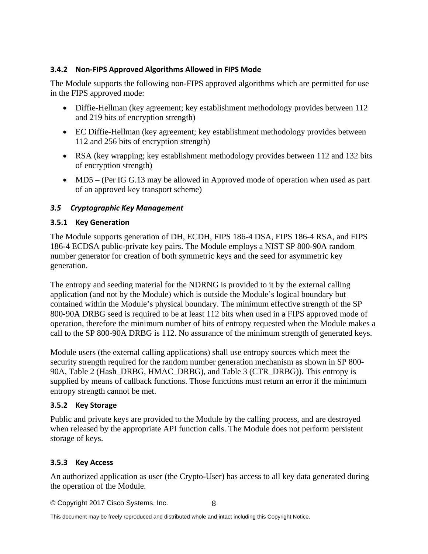#### <span id="page-9-0"></span>**3.4.2 Non-FIPS Approved Algorithms Allowed in FIPS Mode**

The Module supports the following non-FIPS approved algorithms which are permitted for use in the FIPS approved mode:

- Diffie-Hellman (key agreement; key establishment methodology provides between 112 and 219 bits of encryption strength)
- EC Diffie-Hellman (key agreement; key establishment methodology provides between 112 and 256 bits of encryption strength)
- RSA (key wrapping; key establishment methodology provides between 112 and 132 bits of encryption strength)
- MD5 (Per IG G.13 may be allowed in Approved mode of operation when used as part of an approved key transport scheme)

#### <span id="page-9-1"></span>*3.5 Cryptographic Key Management*

#### <span id="page-9-2"></span>**3.5.1 Key Generation**

The Module supports generation of DH, ECDH, FIPS 186-4 DSA, FIPS 186-4 RSA, and FIPS 186-4 ECDSA public-private key pairs. The Module employs a NIST SP 800-90A random number generator for creation of both symmetric keys and the seed for asymmetric key generation.

The entropy and seeding material for the NDRNG is provided to it by the external calling application (and not by the Module) which is outside the Module's logical boundary but contained within the Module's physical boundary. The minimum effective strength of the SP 800-90A DRBG seed is required to be at least 112 bits when used in a FIPS approved mode of operation, therefore the minimum number of bits of entropy requested when the Module makes a call to the SP 800-90A DRBG is 112. No assurance of the minimum strength of generated keys.

Module users (the external calling applications) shall use entropy sources which meet the security strength required for the random number generation mechanism as shown in SP 800- 90A, Table 2 (Hash\_DRBG, HMAC\_DRBG), and Table 3 (CTR\_DRBG)). This entropy is supplied by means of callback functions. Those functions must return an error if the minimum entropy strength cannot be met.

#### <span id="page-9-3"></span>**3.5.2 Key Storage**

Public and private keys are provided to the Module by the calling process, and are destroyed when released by the appropriate API function calls. The Module does not perform persistent storage of keys.

#### <span id="page-9-4"></span>**3.5.3 Key Access**

An authorized application as user (the Crypto-User) has access to all key data generated during the operation of the Module.

© Copyright 2017 Cisco Systems, Inc. 8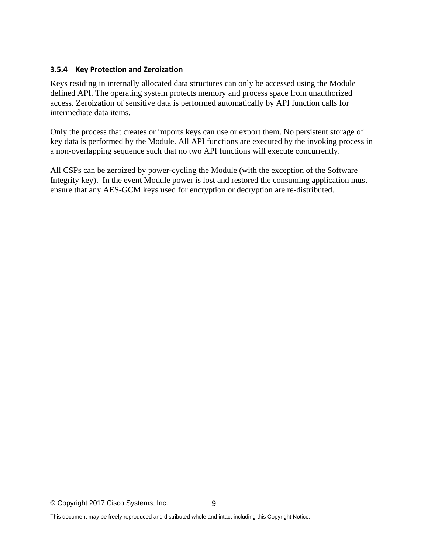#### <span id="page-10-0"></span>**3.5.4 Key Protection and Zeroization**

Keys residing in internally allocated data structures can only be accessed using the Module defined API. The operating system protects memory and process space from unauthorized access. Zeroization of sensitive data is performed automatically by API function calls for intermediate data items.

Only the process that creates or imports keys can use or export them. No persistent storage of key data is performed by the Module. All API functions are executed by the invoking process in a non-overlapping sequence such that no two API functions will execute concurrently.

All CSPs can be zeroized by power-cycling the Module (with the exception of the Software Integrity key). In the event Module power is lost and restored the consuming application must ensure that any AES-GCM keys used for encryption or decryption are re-distributed.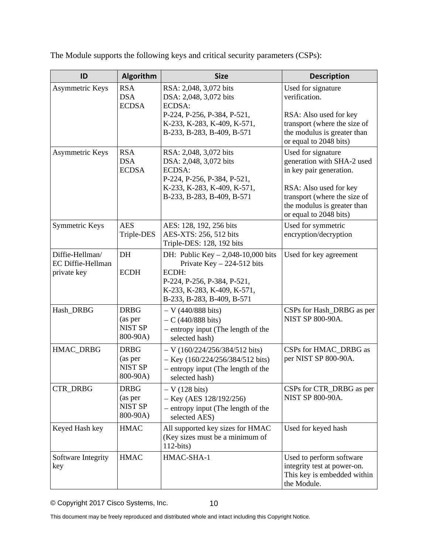| ID                                                  | Algorithm                                            | <b>Size</b>                                                                                                                                                              | <b>Description</b>                                                                                                                                                                             |
|-----------------------------------------------------|------------------------------------------------------|--------------------------------------------------------------------------------------------------------------------------------------------------------------------------|------------------------------------------------------------------------------------------------------------------------------------------------------------------------------------------------|
| Asymmetric Keys                                     | <b>RSA</b><br><b>DSA</b><br><b>ECDSA</b>             | RSA: 2,048, 3,072 bits<br>DSA: 2,048, 3,072 bits<br>ECDSA:<br>P-224, P-256, P-384, P-521,<br>K-233, K-283, K-409, K-571,<br>B-233, B-283, B-409, B-571                   | Used for signature<br>verification.<br>RSA: Also used for key<br>transport (where the size of<br>the modulus is greater than<br>or equal to 2048 bits)                                         |
| Asymmetric Keys                                     | <b>RSA</b><br><b>DSA</b><br><b>ECDSA</b>             | RSA: 2,048, 3,072 bits<br>DSA: 2,048, 3,072 bits<br>ECDSA:<br>P-224, P-256, P-384, P-521,<br>K-233, K-283, K-409, K-571,<br>B-233, B-283, B-409, B-571                   | Used for signature<br>generation with SHA-2 used<br>in key pair generation.<br>RSA: Also used for key<br>transport (where the size of<br>the modulus is greater than<br>or equal to 2048 bits) |
| Symmetric Keys                                      | <b>AES</b><br>Triple-DES                             | AES: 128, 192, 256 bits<br>AES-XTS: 256, 512 bits<br>Triple-DES: 128, 192 bits                                                                                           | Used for symmetric<br>encryption/decryption                                                                                                                                                    |
| Diffie-Hellman/<br>EC Diffie-Hellman<br>private key | DH<br><b>ECDH</b>                                    | DH: Public Key $-2,048-10,000$ bits<br>Private $Key - 224-512$ bits<br>ECDH:<br>P-224, P-256, P-384, P-521,<br>K-233, K-283, K-409, K-571,<br>B-233, B-283, B-409, B-571 | Used for key agreement                                                                                                                                                                         |
| Hash_DRBG                                           | <b>DRBG</b><br>(as per<br><b>NIST SP</b><br>800-90A) | $- V (440/888 \text{ bits})$<br>$-C (440/888 \text{ bits})$<br>- entropy input (The length of the<br>selected hash)                                                      | CSPs for Hash_DRBG as per<br><b>NIST SP 800-90A.</b>                                                                                                                                           |
| HMAC_DRBG                                           | <b>DRBG</b><br>(as per<br><b>NIST SP</b><br>800-90A) | $-V$ (160/224/256/384/512 bits)<br>$-$ Key (160/224/256/384/512 bits)<br>- entropy input (The length of the<br>selected hash)                                            | CSPs for HMAC_DRBG as<br>per NIST SP 800-90A.                                                                                                                                                  |
| <b>CTR_DRBG</b>                                     | <b>DRBG</b><br>(as per<br><b>NIST SP</b><br>800-90A) | $-V(128 \text{ bits})$<br>$-$ Key (AES 128/192/256)<br>- entropy input (The length of the<br>selected AES)                                                               | CSPs for CTR_DRBG as per<br><b>NIST SP 800-90A.</b>                                                                                                                                            |
| Keyed Hash key                                      | <b>HMAC</b>                                          | All supported key sizes for HMAC<br>(Key sizes must be a minimum of<br>$112-bits)$                                                                                       | Used for keyed hash                                                                                                                                                                            |
| Software Integrity<br>key                           | <b>HMAC</b>                                          | HMAC-SHA-1                                                                                                                                                               | Used to perform software<br>integrity test at power-on.<br>This key is embedded within<br>the Module.                                                                                          |

The Module supports the following keys and critical security parameters (CSPs):

© Copyright 2017 Cisco Systems, Inc.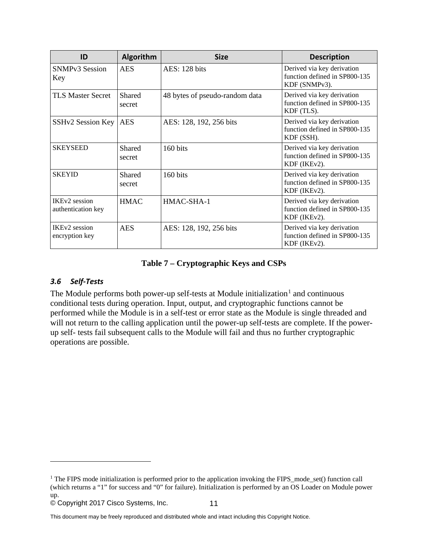| ID                                          | <b>Algorithm</b> | <b>Size</b>                    | <b>Description</b>                                                           |
|---------------------------------------------|------------------|--------------------------------|------------------------------------------------------------------------------|
| <b>SNMPv3 Session</b><br>Key                | <b>AES</b>       | AES: 128 bits                  | Derived via key derivation<br>function defined in SP800-135<br>KDF (SNMPv3). |
| <b>TLS Master Secret</b>                    | Shared<br>secret | 48 bytes of pseudo-random data | Derived via key derivation<br>function defined in SP800-135<br>KDF (TLS).    |
| SSHv2 Session Key                           | <b>AES</b>       | AES: 128, 192, 256 bits        | Derived via key derivation<br>function defined in SP800-135<br>KDF (SSH).    |
| <b>SKEYSEED</b>                             | Shared<br>secret | 160 bits                       | Derived via key derivation<br>function defined in SP800-135<br>KDF (IKEv2).  |
| <b>SKEYID</b>                               | Shared<br>secret | 160 bits                       | Derived via key derivation<br>function defined in SP800-135<br>KDF (IKEv2).  |
| <b>IKEv2</b> session<br>authentication key  | <b>HMAC</b>      | HMAC-SHA-1                     | Derived via key derivation<br>function defined in SP800-135<br>KDF (IKEv2).  |
| IKE <sub>v2</sub> session<br>encryption key | <b>AES</b>       | AES: 128, 192, 256 bits        | Derived via key derivation<br>function defined in SP800-135<br>KDF (IKEv2).  |

#### **Table 7 – Cryptographic Keys and CSPs**

#### <span id="page-12-0"></span>*3.6 Self-Tests*

 $\overline{a}$ 

The Module performs both power-up self-tests at Module initialization<sup>[1](#page-13-1)</sup> and continuous conditional tests during operation. Input, output, and cryptographic functions cannot be performed while the Module is in a self-test or error state as the Module is single threaded and will not return to the calling application until the power-up self-tests are complete. If the powerup self- tests fail subsequent calls to the Module will fail and thus no further cryptographic operations are possible.

<sup>&</sup>lt;sup>1</sup> The FIPS mode initialization is performed prior to the application invoking the FIPS\_mode\_set() function call (which returns a "1" for success and "0" for failure). Initialization is performed by an OS Loader on Module power up.

<sup>©</sup> Copyright 2017 Cisco Systems, Inc.

This document may be freely reproduced and distributed whole and intact including this Copyright Notice.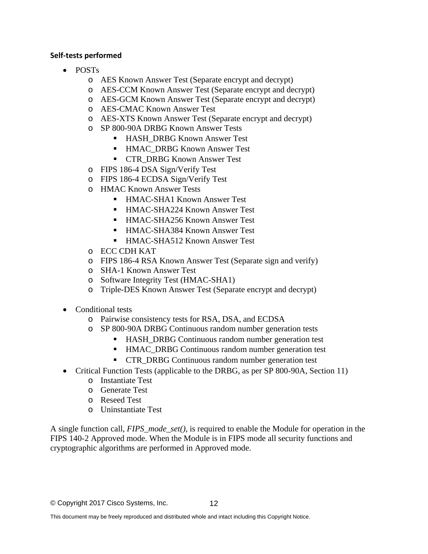#### <span id="page-13-0"></span>**Self-tests performed**

- POSTs
	- o AES Known Answer Test (Separate encrypt and decrypt)
	- o AES-CCM Known Answer Test (Separate encrypt and decrypt)
	- o AES-GCM Known Answer Test (Separate encrypt and decrypt)
	- o AES-CMAC Known Answer Test
	- o AES-XTS Known Answer Test (Separate encrypt and decrypt)
	- o SP 800-90A DRBG Known Answer Tests
		- HASH\_DRBG Known Answer Test
		- HMAC\_DRBG Known Answer Test
		- **CTR\_DRBG Known Answer Test**
	- o FIPS 186-4 DSA Sign/Verify Test
	- o FIPS 186-4 ECDSA Sign/Verify Test
	- o HMAC Known Answer Tests
		- HMAC-SHA1 Known Answer Test
		- HMAC-SHA224 Known Answer Test
		- HMAC-SHA256 Known Answer Test
		- HMAC-SHA384 Known Answer Test
		- HMAC-SHA512 Known Answer Test
	- o ECC CDH KAT
	- o FIPS 186-4 RSA Known Answer Test (Separate sign and verify)
	- o SHA-1 Known Answer Test
	- o Software Integrity Test (HMAC-SHA1)
	- o Triple-DES Known Answer Test (Separate encrypt and decrypt)
- Conditional tests
	- o Pairwise consistency tests for RSA, DSA, and ECDSA
	- o SP 800-90A DRBG Continuous random number generation tests
		- HASH\_DRBG Continuous random number generation test
		- HMAC\_DRBG Continuous random number generation test
		- **CTR\_DRBG Continuous random number generation test**
- Critical Function Tests (applicable to the DRBG, as per SP 800-90A, Section 11)
	- o Instantiate Test
	- o Generate Test
	- o Reseed Test
	- o Uninstantiate Test

<span id="page-13-1"></span>A single function call, *FIPS\_mode\_set()*, is required to enable the Module for operation in the FIPS 140-2 Approved mode. When the Module is in FIPS mode all security functions and cryptographic algorithms are performed in Approved mode.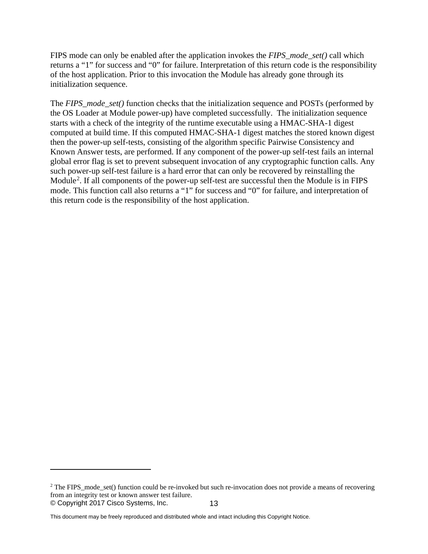FIPS mode can only be enabled after the application invokes the *FIPS\_mode\_set()* call which returns a "1" for success and "0" for failure. Interpretation of this return code is the responsibility of the host application. Prior to this invocation the Module has already gone through its initialization sequence.

The *FIPS\_mode\_set()* function checks that the initialization sequence and POSTs (performed by the OS Loader at Module power-up) have completed successfully. The initialization sequence starts with a check of the integrity of the runtime executable using a HMAC-SHA-1 digest computed at build time. If this computed HMAC-SHA-1 digest matches the stored known digest then the power-up self-tests, consisting of the algorithm specific Pairwise Consistency and Known Answer tests, are performed. If any component of the power-up self-test fails an internal global error flag is set to prevent subsequent invocation of any cryptographic function calls. Any such power-up self-test failure is a hard error that can only be recovered by reinstalling the Module<sup>[2](#page-15-3)</sup>. If all components of the power-up self-test are successful then the Module is in FIPS mode. This function call also returns a "1" for success and "0" for failure, and interpretation of this return code is the responsibility of the host application.

 $\overline{a}$ 

<sup>©</sup> Copyright 2017 Cisco Systems, Inc. 13 <sup>2</sup> The FIPS mode set() function could be re-invoked but such re-invocation does not provide a means of recovering from an integrity test or known answer test failure.

This document may be freely reproduced and distributed whole and intact including this Copyright Notice.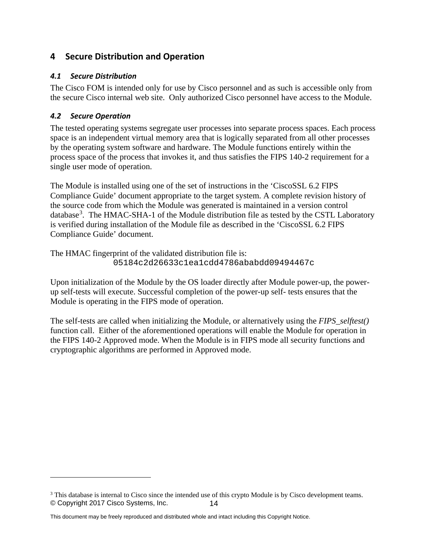# <span id="page-15-0"></span>**4 Secure Distribution and Operation**

#### <span id="page-15-1"></span>*4.1 Secure Distribution*

The Cisco FOM is intended only for use by Cisco personnel and as such is accessible only from the secure Cisco internal web site. Only authorized Cisco personnel have access to the Module.

#### <span id="page-15-2"></span>*4.2 Secure Operation*

 $\overline{a}$ 

The tested operating systems segregate user processes into separate process spaces. Each process space is an independent virtual memory area that is logically separated from all other processes by the operating system software and hardware. The Module functions entirely within the process space of the process that invokes it, and thus satisfies the FIPS 140-2 requirement for a single user mode of operation.

The Module is installed using one of the set of instructions in the 'CiscoSSL 6.2 FIPS Compliance Guide' document appropriate to the target system. A complete revision history of the source code from which the Module was generated is maintained in a version control database<sup>[3](#page-16-1)</sup>. The HMAC-SHA-1 of the Module distribution file as tested by the CSTL Laboratory is verified during installation of the Module file as described in the 'CiscoSSL 6.2 FIPS Compliance Guide' document.

The HMAC fingerprint of the validated distribution file is: 05184c2d26633c1ea1cdd4786ababdd09494467c

Upon initialization of the Module by the OS loader directly after Module power-up, the powerup self-tests will execute. Successful completion of the power-up self- tests ensures that the Module is operating in the FIPS mode of operation.

The self-tests are called when initializing the Module, or alternatively using the *FIPS\_selftest()* function call. Either of the aforementioned operations will enable the Module for operation in the FIPS 140-2 Approved mode. When the Module is in FIPS mode all security functions and cryptographic algorithms are performed in Approved mode.

<span id="page-15-3"></span><sup>©</sup> Copyright 2017 Cisco Systems, Inc. 14 <sup>3</sup> This database is internal to Cisco since the intended use of this crypto Module is by Cisco development teams.

This document may be freely reproduced and distributed whole and intact including this Copyright Notice.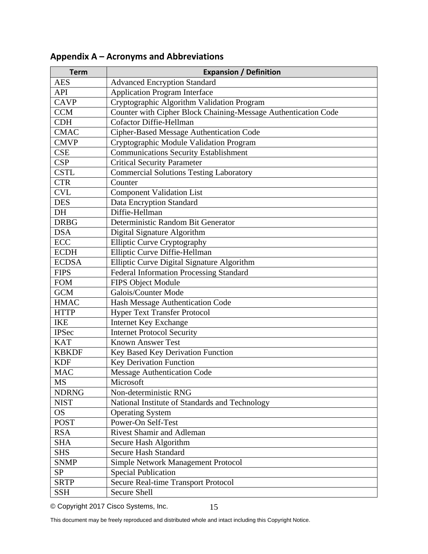| <b>Term</b>  | <b>Expansion / Definition</b>                                  |
|--------------|----------------------------------------------------------------|
| <b>AES</b>   | <b>Advanced Encryption Standard</b>                            |
| <b>API</b>   | <b>Application Program Interface</b>                           |
| <b>CAVP</b>  | Cryptographic Algorithm Validation Program                     |
| <b>CCM</b>   | Counter with Cipher Block Chaining-Message Authentication Code |
| <b>CDH</b>   | Cofactor Diffie-Hellman                                        |
| <b>CMAC</b>  | Cipher-Based Message Authentication Code                       |
| <b>CMVP</b>  | Cryptographic Module Validation Program                        |
| <b>CSE</b>   | Communications Security Establishment                          |
| <b>CSP</b>   | <b>Critical Security Parameter</b>                             |
| <b>CSTL</b>  | <b>Commercial Solutions Testing Laboratory</b>                 |
| <b>CTR</b>   | Counter                                                        |
| <b>CVL</b>   | <b>Component Validation List</b>                               |
| <b>DES</b>   | Data Encryption Standard                                       |
| DH           | Diffie-Hellman                                                 |
| <b>DRBG</b>  | Deterministic Random Bit Generator                             |
| <b>DSA</b>   | Digital Signature Algorithm                                    |
| <b>ECC</b>   | Elliptic Curve Cryptography                                    |
| <b>ECDH</b>  | Elliptic Curve Diffie-Hellman                                  |
| <b>ECDSA</b> | Elliptic Curve Digital Signature Algorithm                     |
| <b>FIPS</b>  | Federal Information Processing Standard                        |
| <b>FOM</b>   | FIPS Object Module                                             |
| <b>GCM</b>   | Galois/Counter Mode                                            |
| <b>HMAC</b>  | Hash Message Authentication Code                               |
| <b>HTTP</b>  | <b>Hyper Text Transfer Protocol</b>                            |
| <b>IKE</b>   | Internet Key Exchange                                          |
| <b>IPSec</b> | <b>Internet Protocol Security</b>                              |
| <b>KAT</b>   | <b>Known Answer Test</b>                                       |
| <b>KBKDF</b> | Key Based Key Derivation Function                              |
| <b>KDF</b>   | <b>Key Derivation Function</b>                                 |
| <b>MAC</b>   | <b>Message Authentication Code</b>                             |
| <b>MS</b>    | Microsoft                                                      |
| <b>NDRNG</b> | Non-deterministic RNG                                          |
| <b>NIST</b>  | National Institute of Standards and Technology                 |
| <b>OS</b>    | <b>Operating System</b>                                        |
| <b>POST</b>  | Power-On Self-Test                                             |
| <b>RSA</b>   | <b>Rivest Shamir and Adleman</b>                               |
| <b>SHA</b>   | Secure Hash Algorithm                                          |
| <b>SHS</b>   | <b>Secure Hash Standard</b>                                    |
| <b>SNMP</b>  | Simple Network Management Protocol                             |
| <b>SP</b>    | <b>Special Publication</b>                                     |
| <b>SRTP</b>  | Secure Real-time Transport Protocol                            |
| <b>SSH</b>   | <b>Secure Shell</b>                                            |

# <span id="page-16-0"></span>**Appendix A – Acronyms and Abbreviations**

<span id="page-16-1"></span>© Copyright 2017 Cisco Systems, Inc.